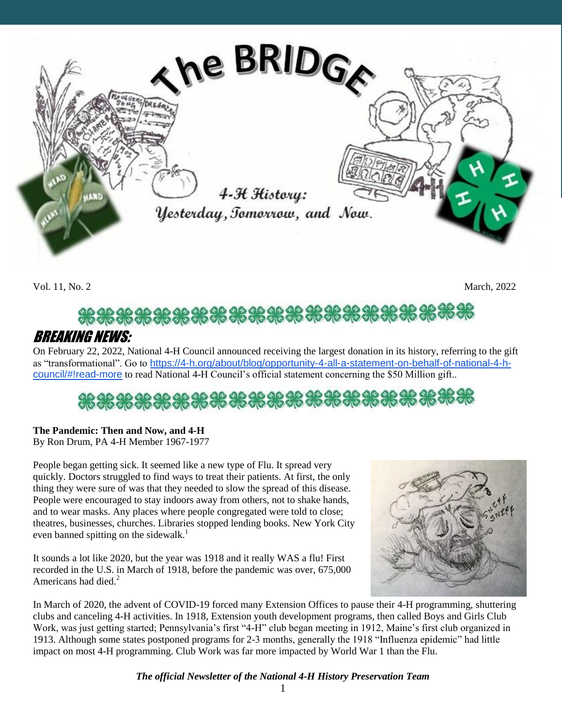

Vol. 11, No. 2 March, 2022

# \*\*\*\*\*\*\*\*\*\*\*\*\*\*\*\*\*\*\*\*\*\*\*\*

### BREAKING NEWS:

On February 22, 2022, National 4-H Council announced receiving the largest donation in its history, referring to the gift as "transformational". Go to [https://4-h.org/about/blog/opportunity-4-all-a-statement-on-behalf-of-national-4-h](https://4-h.org/about/blog/opportunity-4-all-a-statement-on-behalf-of-national-4-h-council/#!read-more)[council/#!read-more](https://4-h.org/about/blog/opportunity-4-all-a-statement-on-behalf-of-national-4-h-council/#!read-more) to read National 4-H Council's official statement concerning the \$50 Million gift..

## \*\*\*\*\*\*\*\*\*\*\*\*\*\*\*\*\*\*\*\*\*\*\*\*\*\*\*\*\*\*

#### **The Pandemic: Then and Now, and 4-H**

By Ron Drum, PA 4-H Member 1967-1977

People began getting sick. It seemed like a new type of Flu. It spread very quickly. Doctors struggled to find ways to treat their patients. At first, the only thing they were sure of was that they needed to slow the spread of this disease. People were encouraged to stay indoors away from others, not to shake hands, and to wear masks. Any places where people congregated were told to close; theatres, businesses, churches. Libraries stopped lending books. New York City even banned spitting on the sidewalk.<sup>1</sup>

It sounds a lot like 2020, but the year was 1918 and it really WAS a flu! First recorded in the U.S. in March of 1918, before the pandemic was over, 675,000 Americans had died.<sup>2</sup>



In March of 2020, the advent of COVID-19 forced many Extension Offices to pause their 4-H programming, shuttering clubs and canceling 4-H activities. In 1918, Extension youth development programs, then called Boys and Girls Club Work, was just getting started; Pennsylvania's first "4-H" club began meeting in 1912, Maine's first club organized in 1913. Although some states postponed programs for 2-3 months, generally the 1918 "Influenza epidemic" had little impact on most 4-H programming. Club Work was far more impacted by World War 1 than the Flu.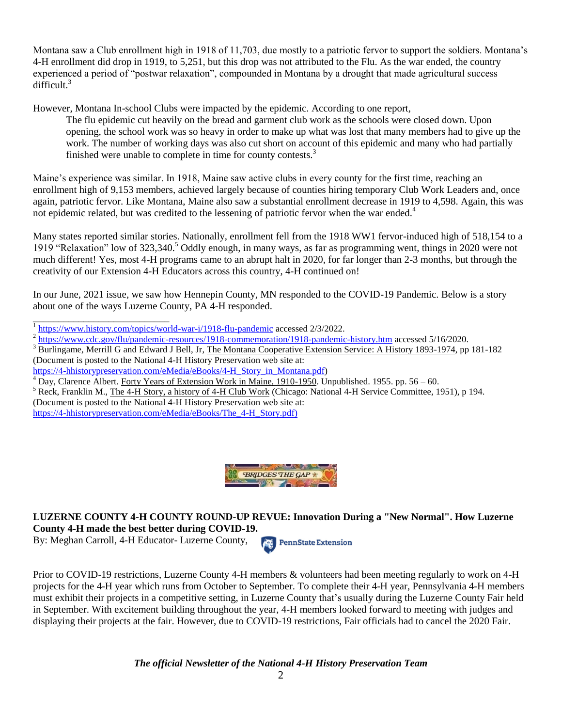Montana saw a Club enrollment high in 1918 of 11,703, due mostly to a patriotic fervor to support the soldiers. Montana's 4-H enrollment did drop in 1919, to 5,251, but this drop was not attributed to the Flu. As the war ended, the country experienced a period of "postwar relaxation", compounded in Montana by a drought that made agricultural success difficult.<sup>3</sup>

However, Montana In-school Clubs were impacted by the epidemic. According to one report,

The flu epidemic cut heavily on the bread and garment club work as the schools were closed down. Upon opening, the school work was so heavy in order to make up what was lost that many members had to give up the work. The number of working days was also cut short on account of this epidemic and many who had partially finished were unable to complete in time for county contests.<sup>3</sup>

Maine's experience was similar. In 1918, Maine saw active clubs in every county for the first time, reaching an enrollment high of 9,153 members, achieved largely because of counties hiring temporary Club Work Leaders and, once again, patriotic fervor. Like Montana, Maine also saw a substantial enrollment decrease in 1919 to 4,598. Again, this was not epidemic related, but was credited to the lessening of patriotic fervor when the war ended.<sup>4</sup>

Many states reported similar stories. Nationally, enrollment fell from the 1918 WW1 fervor-induced high of 518,154 to a 1919 "Relaxation" low of 323,340.<sup>5</sup> Oddly enough, in many ways, as far as programming went, things in 2020 were not much different! Yes, most 4-H programs came to an abrupt halt in 2020, for far longer than 2-3 months, but through the creativity of our Extension 4-H Educators across this country, 4-H continued on!

In our June, 2021 issue, we saw how Hennepin County, MN responded to the COVID-19 Pandemic. Below is a story about one of the ways Luzerne County, PA 4-H responded.

\_\_\_\_\_\_\_\_\_\_\_\_\_\_\_\_\_\_\_\_\_\_\_\_\_\_\_ <sup>1</sup> <https://www.history.com/topics/world-war-i/1918-flu-pandemic> accessed 2/3/2022.

<sup>2</sup> <https://www.cdc.gov/flu/pandemic-resources/1918-commemoration/1918-pandemic-history.htm> accessed 5/16/2020.

<sup>3</sup> Burlingame, Merrill G and Edward J Bell, Jr, The Montana Cooperative Extension Service: A History 1893-1974, pp 181-182

(Document is posted to the National 4-H History Preservation web site at:

[https://4-hhistorypreservation.com/eMedia/eBooks/4-H\\_Story\\_in\\_Montana.pdf\)](https://4hhistorypreservation.com/eMedia/eBooks/4-H_Story_in_Montana.pdf)

 $^4$  Day, Clarence Albert. Forty Years of Extension Work in Maine, 1910-1950. Unpublished. 1955. pp. 56 – 60.

 $<sup>5</sup>$  Reck, Franklin M., The 4-H Story, a history of 4-H Club Work (Chicago: National 4-H Service Committee, 1951), p 194.</sup>

(Document is posted to the National 4-H History Preservation web site at:

[https://4-hhistorypreservation.com/eMedia/eBooks/The\\_4-H\\_Story.pdf\)](https://4-hhistorypreservation.com/eMedia/eBooks/The_4-H_Story.pdf)



#### **LUZERNE COUNTY 4-H COUNTY ROUND-UP REVUE: Innovation During a "New Normal". How Luzerne County 4-H made the best better during COVID-19.**

By: Meghan Carroll, 4-H Educator- Luzerne County,

**PennState Extension** 

Prior to COVID-19 restrictions, Luzerne County 4-H members & volunteers had been meeting regularly to work on 4-H projects for the 4-H year which runs from October to September. To complete their 4-H year, Pennsylvania 4-H members must exhibit their projects in a competitive setting, in Luzerne County that's usually during the Luzerne County Fair held in September. With excitement building throughout the year, 4-H members looked forward to meeting with judges and displaying their projects at the fair. However, due to COVID-19 restrictions, Fair officials had to cancel the 2020 Fair.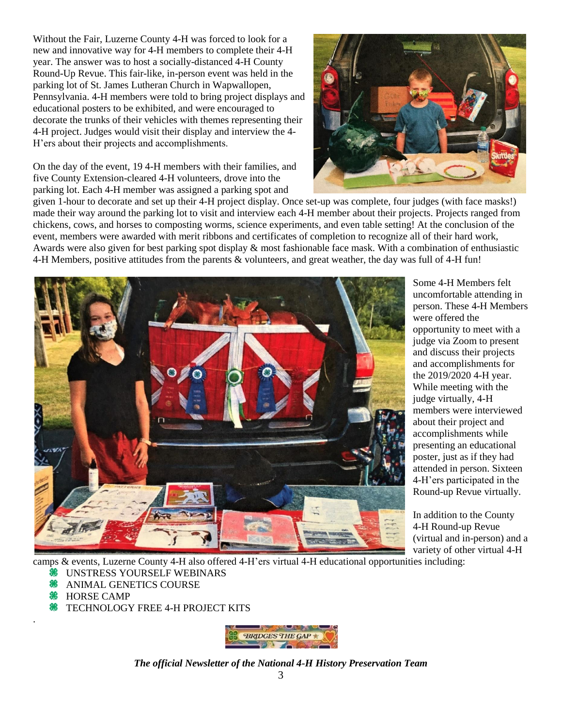Without the Fair, Luzerne County 4-H was forced to look for a new and innovative way for 4-H members to complete their 4-H year. The answer was to host a socially-distanced 4-H County Round-Up Revue. This fair-like, in-person event was held in the parking lot of St. James Lutheran Church in Wapwallopen, Pennsylvania. 4-H members were told to bring project displays and educational posters to be exhibited, and were encouraged to decorate the trunks of their vehicles with themes representing their 4-H project. Judges would visit their display and interview the 4- H'ers about their projects and accomplishments.

On the day of the event, 19 4-H members with their families, and five County Extension-cleared 4-H volunteers, drove into the parking lot. Each 4-H member was assigned a parking spot and



given 1-hour to decorate and set up their 4-H project display. Once set-up was complete, four judges (with face masks!) made their way around the parking lot to visit and interview each 4-H member about their projects. Projects ranged from chickens, cows, and horses to composting worms, science experiments, and even table setting! At the conclusion of the event, members were awarded with merit ribbons and certificates of completion to recognize all of their hard work, Awards were also given for best parking spot display & most fashionable face mask. With a combination of enthusiastic 4-H Members, positive attitudes from the parents & volunteers, and great weather, the day was full of 4-H fun!



Some 4-H Members felt uncomfortable attending in person. These 4-H Members were offered the opportunity to meet with a judge via Zoom to present and discuss their projects and accomplishments for the 2019/2020 4-H year. While meeting with the judge virtually, 4-H members were interviewed about their project and accomplishments while presenting an educational poster, just as if they had attended in person. Sixteen 4-H'ers participated in the Round-up Revue virtually.

In addition to the County 4-H Round-up Revue (virtual and in-person) and a variety of other virtual 4-H

camps & events, Luzerne County 4-H also offered 4-H'ers virtual 4-H educational opportunities including:

- UNSTRESS YOURSELF WEBINARS මූල
- **ANIMAL GENETICS COURSE**
- **<sup><sup>88</sup>** HORSE CAMP</sup>

.

**<sup>86</sup>** TECHNOLOGY FREE 4-H PROJECT KITS

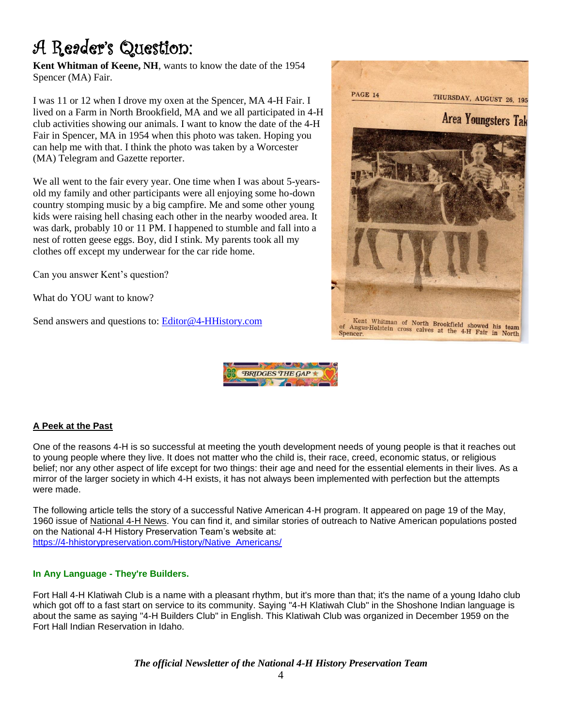## A Reader's Question:

**Kent Whitman of Keene, NH**, wants to know the date of the 1954 Spencer (MA) Fair.

I was 11 or 12 when I drove my oxen at the Spencer, MA 4-H Fair. I lived on a Farm in North Brookfield, MA and we all participated in 4-H club activities showing our animals. I want to know the date of the 4-H Fair in Spencer, MA in 1954 when this photo was taken. Hoping you can help me with that. I think the photo was taken by a Worcester (MA) Telegram and Gazette reporter.

We all went to the fair every year. One time when I was about 5-yearsold my family and other participants were all enjoying some ho-down country stomping music by a big campfire. Me and some other young kids were raising hell chasing each other in the nearby wooded area. It was dark, probably 10 or 11 PM. I happened to stumble and fall into a nest of rotten geese eggs. Boy, did I stink. My parents took all my clothes off except my underwear for the car ride home.

Can you answer Kent's question?

What do YOU want to know?

Send answers and questions to: [Editor@4-HHistory.com](mailto:Editor@4-HHistory.com)





#### **A Peek at the Past**

One of the reasons 4-H is so successful at meeting the youth development needs of young people is that it reaches out to young people where they live. It does not matter who the child is, their race, creed, economic status, or religious belief; nor any other aspect of life except for two things: their age and need for the essential elements in their lives. As a mirror of the larger society in which 4-H exists, it has not always been implemented with perfection but the attempts were made.

The following article tells the story of a successful Native American 4-H program. It appeared on page 19 of the May, 1960 issue of National 4-H News. You can find it, and similar stories of outreach to Native American populations posted on the National 4-H History Preservation Team's website at: [https://4-hhistorypreservation.com/History/Native\\_Americans/](https://4-hhistorypreservation.com/History/Native_Americans/)

#### **In Any Language - They're Builders.**

Fort Hall 4-H Klatiwah Club is a name with a pleasant rhythm, but it's more than that; it's the name of a young Idaho club which got off to a fast start on service to its community. Saying "4-H Klatiwah Club" in the Shoshone Indian language is about the same as saying "4-H Builders Club" in English. This Klatiwah Club was organized in December 1959 on the Fort Hall Indian Reservation in Idaho.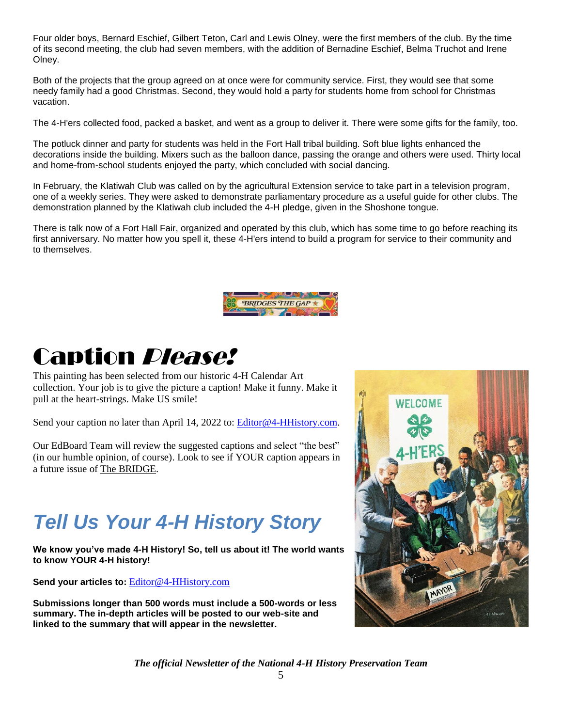Four older boys, Bernard Eschief, Gilbert Teton, Carl and Lewis Olney, were the first members of the club. By the time of its second meeting, the club had seven members, with the addition of Bernadine Eschief, Belma Truchot and Irene Olney.

Both of the projects that the group agreed on at once were for community service. First, they would see that some needy family had a good Christmas. Second, they would hold a party for students home from school for Christmas vacation.

The 4-H'ers collected food, packed a basket, and went as a group to deliver it. There were some gifts for the family, too.

The potluck dinner and party for students was held in the Fort Hall tribal building. Soft blue lights enhanced the decorations inside the building. Mixers such as the balloon dance, passing the orange and others were used. Thirty local and home-from-school students enjoyed the party, which concluded with social dancing.

In February, the Klatiwah Club was called on by the agricultural Extension service to take part in a television program, one of a weekly series. They were asked to demonstrate parliamentary procedure as a useful guide for other clubs. The demonstration planned by the Klatiwah club included the 4-H pledge, given in the Shoshone tongue.

There is talk now of a Fort Hall Fair, organized and operated by this club, which has some time to go before reaching its first anniversary. No matter how you spell it, these 4-H'ers intend to build a program for service to their community and to themselves.



# Caption Please!

This painting has been selected from our historic 4-H Calendar Art collection. Your job is to give the picture a caption! Make it funny. Make it pull at the heart-strings. Make US smile!

Send your caption no later than April 14, 2022 to: [Editor@4-HHistory.com.](mailto:Editor@4-HHistory.com)

Our EdBoard Team will review the suggested captions and select "the best" (in our humble opinion, of course). Look to see if YOUR caption appears in a future issue of The BRIDGE.

## *Tell Us Your 4-H History Story*

**We know you've made 4-H History! So, tell us about it! The world wants to know YOUR 4-H history!** 

**Send your articles to:** [Editor@4-HHistory.com](mailto:Editor@4-HHistory.com)

**Submissions longer than 500 words must include a 500-words or less summary. The in-depth articles will be posted to our web-site and linked to the summary that will appear in the newsletter.**